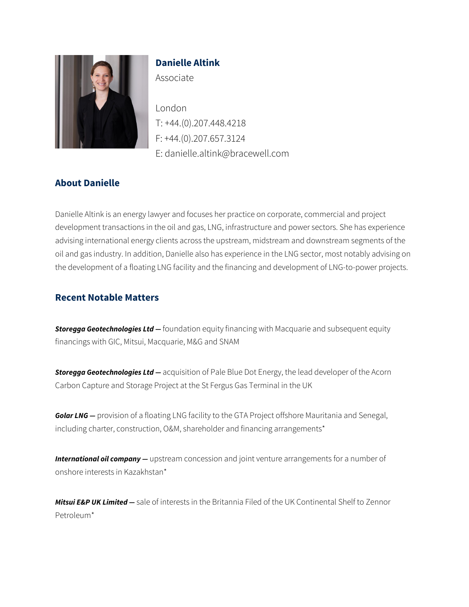

# **Danielle Altink**

Associate

London T: +44.(0).207.448.4218 F: +44.(0).207.657.3124 E: danielle.altink@bracewell.com

# **About Danielle**

Danielle Altink is an energy lawyer and focuses her practice on corporate, commercial and project development transactions in the oil and gas, LNG, infrastructure and power sectors. She has experience advising international energy clients across the upstream, midstream and downstream segments of the oil and gas industry. In addition, Danielle also has experience in the LNG sector, most notably advising on the development of a floating LNG facility and the financing and development of LNG-to-power projects.

### **Recent Notable Matters**

*Storegga Geotechnologies Ltd —* foundation equity financing with Macquarie and subsequent equity financings with GIC, Mitsui, Macquarie, M&G and SNAM

*Storegga Geotechnologies Ltd —* acquisition of Pale Blue Dot Energy, the lead developer of the Acorn Carbon Capture and Storage Project at the St Fergus Gas Terminal in the UK

**Golar LNG** – provision of a floating LNG facility to the GTA Project offshore Mauritania and Senegal, including charter, construction, O&M, shareholder and financing arrangements\*

**International oil company** — upstream concession and joint venture arrangements for a number of onshore interests in Kazakhstan\*

*Mitsui E&P UK Limited —* sale of interests in the Britannia Filed of the UK Continental Shelf to Zennor Petroleum\*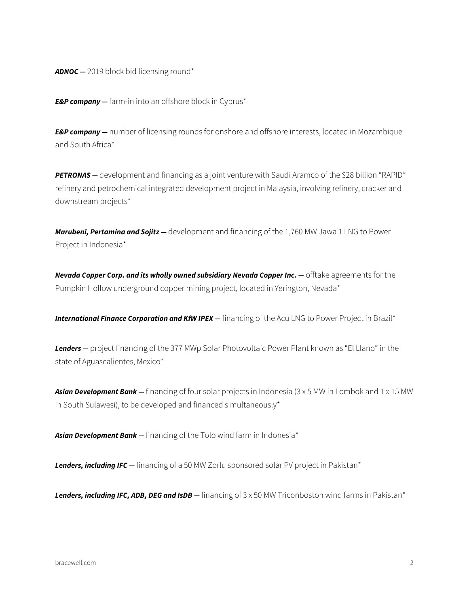*ADNOC —* 2019 block bid licensing round\*

*E&P company —* farm-in into an offshore block in Cyprus\*

*E&P company —* number of licensing rounds for onshore and offshore interests, located in Mozambique and South Africa\*

*PETRONAS —* development and financing as a joint venture with Saudi Aramco of the \$28 billion "RAPID" refinery and petrochemical integrated development project in Malaysia, involving refinery, cracker and downstream projects\*

*Marubeni, Pertamina and Sojitz —* development and financing of the 1,760 MW Jawa 1 LNG to Power Project in Indonesia\*

**Nevada Copper Corp. and its wholly owned subsidiary Nevada Copper Inc. — offtake agreements for the** Pumpkin Hollow underground copper mining project, located in Yerington, Nevada\*

*International Finance Corporation and KfW IPEX —* financing of the Acu LNG to Power Project in Brazil<sup>\*</sup>

*Lenders —* project financing of the 377 MWp Solar Photovoltaic Power Plant known as "El Llano" in the state of Aguascalientes, Mexico\*

*Asian Development Bank —* financing of four solar projects in Indonesia (3 x 5 MW in Lombok and 1 x 15 MW in South Sulawesi), to be developed and financed simultaneously\*

*Asian Development Bank —* financing of the Tolo wind farm in Indonesia\*

Lenders, *including IFC* — financing of a 50 MW Zorlu sponsored solar PV project in Pakistan\*

Lenders, *including IFC, ADB, DEG and IsDB* – financing of 3 x 50 MW Triconboston wind farms in Pakistan\*